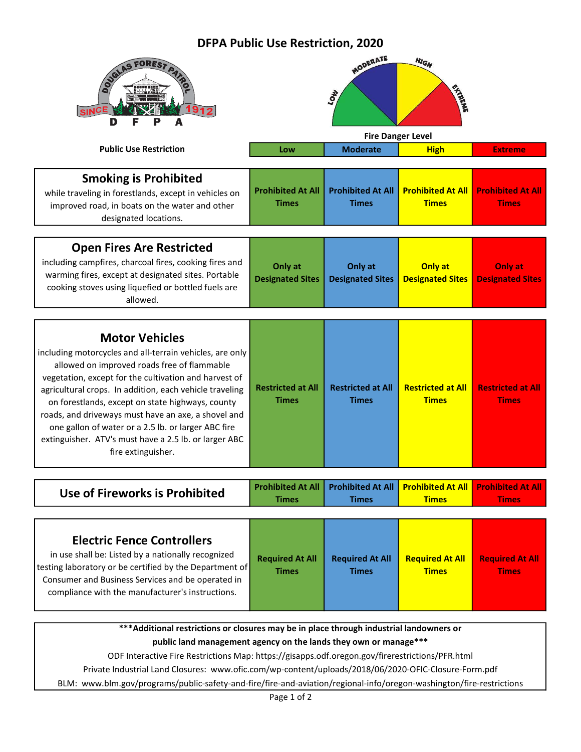## DFPA Public Use Restriction, 2020

| <b>SINC</b><br>D                                                                                                                                                                                                                                                                                                                                                                                                                                                                                      |                                          | MODERATE<br><b>AON</b>                      | <b>HIGH</b><br><b>CANTRONE</b>           |                                          |
|-------------------------------------------------------------------------------------------------------------------------------------------------------------------------------------------------------------------------------------------------------------------------------------------------------------------------------------------------------------------------------------------------------------------------------------------------------------------------------------------------------|------------------------------------------|---------------------------------------------|------------------------------------------|------------------------------------------|
| <b>Public Use Restriction</b>                                                                                                                                                                                                                                                                                                                                                                                                                                                                         | Low                                      | <b>Fire Danger Level</b><br><b>Moderate</b> | <b>High</b>                              | <b>Extreme</b>                           |
|                                                                                                                                                                                                                                                                                                                                                                                                                                                                                                       |                                          |                                             |                                          |                                          |
| <b>Smoking is Prohibited</b><br>while traveling in forestlands, except in vehicles on<br>improved road, in boats on the water and other<br>designated locations.                                                                                                                                                                                                                                                                                                                                      | <b>Prohibited At All</b><br><b>Times</b> | <b>Prohibited At All</b><br><b>Times</b>    | <b>Prohibited At All</b><br><b>Times</b> | <b>Prohibited At All</b><br><b>Times</b> |
| <b>Open Fires Are Restricted</b><br>including campfires, charcoal fires, cooking fires and<br>warming fires, except at designated sites. Portable<br>cooking stoves using liquefied or bottled fuels are<br>allowed.                                                                                                                                                                                                                                                                                  | Only at<br><b>Designated Sites</b>       | Only at<br><b>Designated Sites</b>          | Only at<br><b>Designated Sites</b>       | Only at<br><b>Designated Sites</b>       |
| <b>Motor Vehicles</b><br>including motorcycles and all-terrain vehicles, are only<br>allowed on improved roads free of flammable<br>vegetation, except for the cultivation and harvest of<br>agricultural crops. In addition, each vehicle traveling<br>on forestlands, except on state highways, county<br>roads, and driveways must have an axe, a shovel and<br>one gallon of water or a 2.5 lb. or larger ABC fire<br>extinguisher. ATV's must have a 2.5 lb. or larger ABC<br>fire extinguisher. | <b>Restricted at All</b><br><b>Times</b> | <b>Restricted at All</b><br><b>Times</b>    | <b>Restricted at All</b><br><b>Times</b> | <b>Restricted at All</b><br><b>Times</b> |
| Use of Fireworks is Prohibited                                                                                                                                                                                                                                                                                                                                                                                                                                                                        | <b>Prohibited At All</b><br><b>Times</b> | <b>Prohibited At All</b><br><b>Times</b>    | <b>Prohibited At All</b><br><b>Times</b> | <b>Prohibited At All</b><br><b>Times</b> |
| <b>Electric Fence Controllers</b><br>in use shall be: Listed by a nationally recognized<br>testing laboratory or be certified by the Department of<br>Consumer and Business Services and be operated in<br>compliance with the manufacturer's instructions.                                                                                                                                                                                                                                           | <b>Required At All</b><br><b>Times</b>   | <b>Required At All</b><br><b>Times</b>      | <b>Required At All</b><br><b>Times</b>   | <b>Required At All</b><br><b>Times</b>   |
| *** Additional restrictions or closures may be in place through industrial landowners or                                                                                                                                                                                                                                                                                                                                                                                                              |                                          |                                             |                                          |                                          |

public land management agency on the lands they own or manage\*\*\*

ODF Interactive Fire Restrictions Map: https://gisapps.odf.oregon.gov/firerestrictions/PFR.html

Private Industrial Land Closures: www.ofic.com/wp-content/uploads/2018/06/2020-OFIC-Closure-Form.pdf

BLM: www.blm.gov/programs/public-safety-and-fire/fire-and-aviation/regional-info/oregon-washington/fire-restrictions